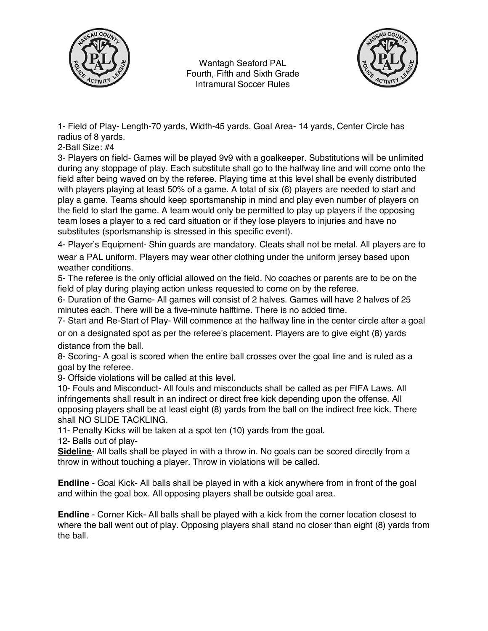

Wantagh Seaford PAL Fourth, Fifth and Sixth Grade Intramural Soccer Rules



1- Field of Play- Length-70 yards, Width-45 yards. Goal Area- 14 yards, Center Circle has radius of 8 yards.

2-Ball Size: #4

3- Players on field- Games will be played 9v9 with a goalkeeper. Substitutions will be unlimited during any stoppage of play. Each substitute shall go to the halfway line and will come onto the field after being waved on by the referee. Playing time at this level shall be evenly distributed with players playing at least 50% of a game. A total of six (6) players are needed to start and play a game. Teams should keep sportsmanship in mind and play even number of players on the field to start the game. A team would only be permitted to play up players if the opposing team loses a player to a red card situation or if they lose players to injuries and have no substitutes (sportsmanship is stressed in this specific event).

4- Player's Equipment- Shin guards are mandatory. Cleats shall not be metal. All players are to

wear a PAL uniform. Players may wear other clothing under the uniform jersey based upon weather conditions.

5- The referee is the only official allowed on the field. No coaches or parents are to be on the field of play during playing action unless requested to come on by the referee.

6- Duration of the Game- All games will consist of 2 halves. Games will have 2 halves of 25 minutes each. There will be a five-minute halftime. There is no added time.

7- Start and Re-Start of Play- Will commence at the halfway line in the center circle after a goal

or on a designated spot as per the referee's placement. Players are to give eight (8) yards distance from the ball.

8- Scoring- A goal is scored when the entire ball crosses over the goal line and is ruled as a goal by the referee.

9- Offside violations will be called at this level.

10- Fouls and Misconduct- All fouls and misconducts shall be called as per FIFA Laws. All infringements shall result in an indirect or direct free kick depending upon the offense. All opposing players shall be at least eight (8) yards from the ball on the indirect free kick. There shall NO SLIDE TACKLING.

11- Penalty Kicks will be taken at a spot ten (10) yards from the goal.

12- Balls out of play-

**Sideline**- All balls shall be played in with a throw in. No goals can be scored directly from a throw in without touching a player. Throw in violations will be called.

**Endline** - Goal Kick- All balls shall be played in with a kick anywhere from in front of the goal and within the goal box. All opposing players shall be outside goal area.

**Endline** - Corner Kick- All balls shall be played with a kick from the corner location closest to where the ball went out of play. Opposing players shall stand no closer than eight (8) yards from the ball.